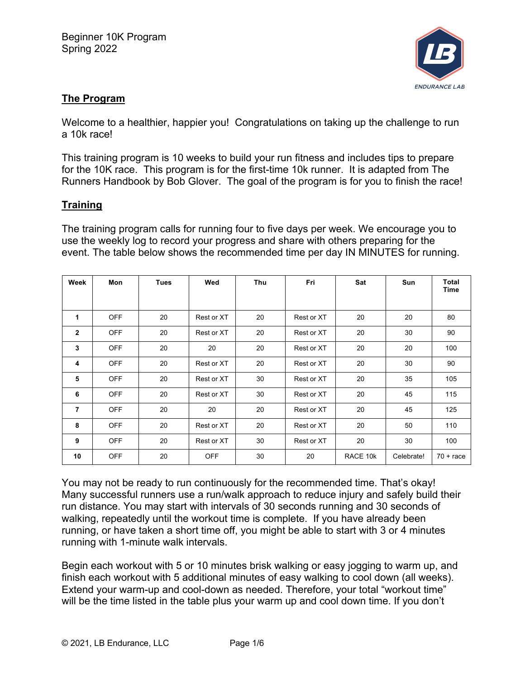

# **The Program**

Welcome to a healthier, happier you! Congratulations on taking up the challenge to run a 10k race!

This training program is 10 weeks to build your run fitness and includes tips to prepare for the 10K race. This program is for the first-time 10k runner. It is adapted from The Runners Handbook by Bob Glover. The goal of the program is for you to finish the race!

# **Training**

The training program calls for running four to five days per week. We encourage you to use the weekly log to record your progress and share with others preparing for the event. The table below shows the recommended time per day IN MINUTES for running.

| Week           | Mon        | <b>Tues</b> | Wed        | Thu | Fri        | Sat      | Sun        | Total<br>Time      |
|----------------|------------|-------------|------------|-----|------------|----------|------------|--------------------|
|                |            |             |            |     |            |          |            |                    |
| 1              | <b>OFF</b> | 20          | Rest or XT | 20  | Rest or XT | 20       | 20         | 80                 |
| $\overline{2}$ | <b>OFF</b> | 20          | Rest or XT | 20  | Rest or XT | 20       | 30         | 90                 |
| 3              | <b>OFF</b> | 20          | 20         | 20  | Rest or XT | 20       | 20         | 100                |
| 4              | <b>OFF</b> | 20          | Rest or XT | 20  | Rest or XT | 20       | 30         | 90                 |
| 5              | <b>OFF</b> | 20          | Rest or XT | 30  | Rest or XT | 20       | 35         | 105                |
| 6              | <b>OFF</b> | 20          | Rest or XT | 30  | Rest or XT | 20       | 45         | 115                |
| $\overline{7}$ | <b>OFF</b> | 20          | 20         | 20  | Rest or XT | 20       | 45         | 125                |
| 8              | <b>OFF</b> | 20          | Rest or XT | 20  | Rest or XT | 20       | 50         | 110                |
| 9              | <b>OFF</b> | 20          | Rest or XT | 30  | Rest or XT | 20       | 30         | 100                |
| 10             | <b>OFF</b> | 20          | <b>OFF</b> | 30  | 20         | RACE 10k | Celebrate! | $70 + \text{race}$ |

You may not be ready to run continuously for the recommended time. That's okay! Many successful runners use a run/walk approach to reduce injury and safely build their run distance. You may start with intervals of 30 seconds running and 30 seconds of walking, repeatedly until the workout time is complete. If you have already been running, or have taken a short time off, you might be able to start with 3 or 4 minutes running with 1-minute walk intervals.

Begin each workout with 5 or 10 minutes brisk walking or easy jogging to warm up, and finish each workout with 5 additional minutes of easy walking to cool down (all weeks). Extend your warm-up and cool-down as needed. Therefore, your total "workout time" will be the time listed in the table plus your warm up and cool down time. If you don't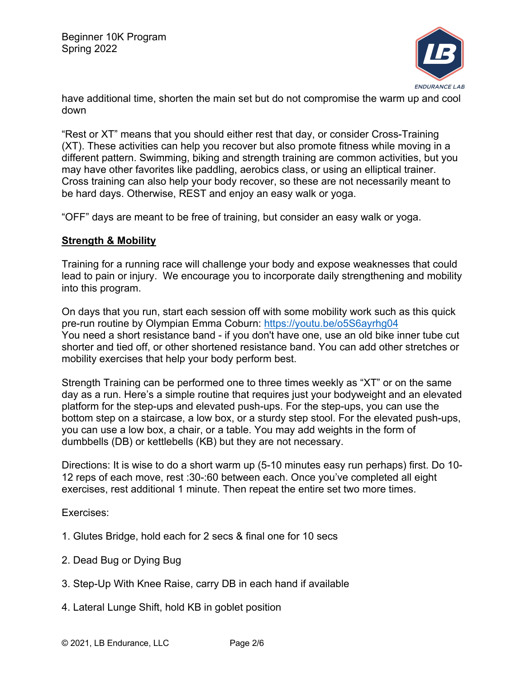

have additional time, shorten the main set but do not compromise the warm up and cool down

"Rest or XT" means that you should either rest that day, or consider Cross-Training (XT). These activities can help you recover but also promote fitness while moving in a different pattern. Swimming, biking and strength training are common activities, but you may have other favorites like paddling, aerobics class, or using an elliptical trainer. Cross training can also help your body recover, so these are not necessarily meant to be hard days. Otherwise, REST and enjoy an easy walk or yoga.

"OFF" days are meant to be free of training, but consider an easy walk or yoga.

#### **Strength & Mobility**

Training for a running race will challenge your body and expose weaknesses that could lead to pain or injury. We encourage you to incorporate daily strengthening and mobility into this program.

On days that you run, start each session off with some mobility work such as this quick pre-run routine by Olympian Emma Coburn: https://youtu.be/o5S6ayrhg04 You need a short resistance band - if you don't have one, use an old bike inner tube cut shorter and tied off, or other shortened resistance band. You can add other stretches or mobility exercises that help your body perform best.

Strength Training can be performed one to three times weekly as "XT" or on the same day as a run. Here's a simple routine that requires just your bodyweight and an elevated platform for the step-ups and elevated push-ups. For the step-ups, you can use the bottom step on a staircase, a low box, or a sturdy step stool. For the elevated push-ups, you can use a low box, a chair, or a table. You may add weights in the form of dumbbells (DB) or kettlebells (KB) but they are not necessary.

Directions: It is wise to do a short warm up (5-10 minutes easy run perhaps) first. Do 10- 12 reps of each move, rest :30-:60 between each. Once you've completed all eight exercises, rest additional 1 minute. Then repeat the entire set two more times.

Exercises:

- 1. Glutes Bridge, hold each for 2 secs & final one for 10 secs
- 2. Dead Bug or Dying Bug
- 3. Step-Up With Knee Raise, carry DB in each hand if available
- 4. Lateral Lunge Shift, hold KB in goblet position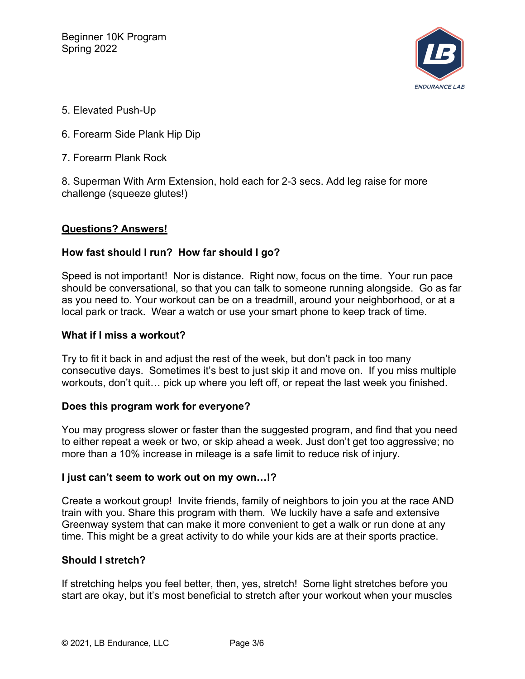

- 5. Elevated Push-Up
- 6. Forearm Side Plank Hip Dip
- 7. Forearm Plank Rock

8. Superman With Arm Extension, hold each for 2-3 secs. Add leg raise for more challenge (squeeze glutes!)

## **Questions? Answers!**

## **How fast should I run? How far should I go?**

Speed is not important! Nor is distance. Right now, focus on the time. Your run pace should be conversational, so that you can talk to someone running alongside. Go as far as you need to. Your workout can be on a treadmill, around your neighborhood, or at a local park or track. Wear a watch or use your smart phone to keep track of time.

#### **What if I miss a workout?**

Try to fit it back in and adjust the rest of the week, but don't pack in too many consecutive days. Sometimes it's best to just skip it and move on. If you miss multiple workouts, don't quit… pick up where you left off, or repeat the last week you finished.

## **Does this program work for everyone?**

You may progress slower or faster than the suggested program, and find that you need to either repeat a week or two, or skip ahead a week. Just don't get too aggressive; no more than a 10% increase in mileage is a safe limit to reduce risk of injury.

## **I just can't seem to work out on my own…!?**

Create a workout group! Invite friends, family of neighbors to join you at the race AND train with you. Share this program with them. We luckily have a safe and extensive Greenway system that can make it more convenient to get a walk or run done at any time. This might be a great activity to do while your kids are at their sports practice.

## **Should I stretch?**

If stretching helps you feel better, then, yes, stretch! Some light stretches before you start are okay, but it's most beneficial to stretch after your workout when your muscles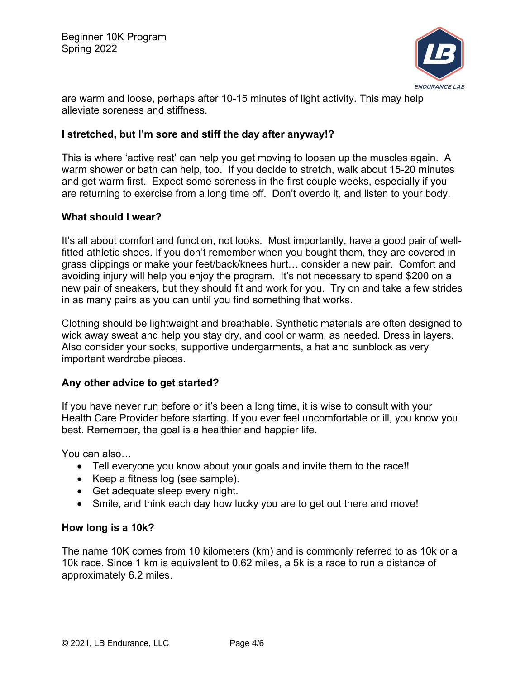

are warm and loose, perhaps after 10-15 minutes of light activity. This may help alleviate soreness and stiffness.

#### **I stretched, but I'm sore and stiff the day after anyway!?**

This is where 'active rest' can help you get moving to loosen up the muscles again. A warm shower or bath can help, too. If you decide to stretch, walk about 15-20 minutes and get warm first. Expect some soreness in the first couple weeks, especially if you are returning to exercise from a long time off. Don't overdo it, and listen to your body.

#### **What should I wear?**

It's all about comfort and function, not looks. Most importantly, have a good pair of wellfitted athletic shoes. If you don't remember when you bought them, they are covered in grass clippings or make your feet/back/knees hurt… consider a new pair. Comfort and avoiding injury will help you enjoy the program. It's not necessary to spend \$200 on a new pair of sneakers, but they should fit and work for you. Try on and take a few strides in as many pairs as you can until you find something that works.

Clothing should be lightweight and breathable. Synthetic materials are often designed to wick away sweat and help you stay dry, and cool or warm, as needed. Dress in layers. Also consider your socks, supportive undergarments, a hat and sunblock as very important wardrobe pieces.

#### **Any other advice to get started?**

If you have never run before or it's been a long time, it is wise to consult with your Health Care Provider before starting. If you ever feel uncomfortable or ill, you know you best. Remember, the goal is a healthier and happier life.

You can also…

- Tell everyone you know about your goals and invite them to the race!!
- Keep a fitness log (see sample).
- Get adequate sleep every night.
- Smile, and think each day how lucky you are to get out there and move!

#### **How long is a 10k?**

The name 10K comes from 10 kilometers (km) and is commonly referred to as 10k or a 10k race. Since 1 km is equivalent to 0.62 miles, a 5k is a race to run a distance of approximately 6.2 miles.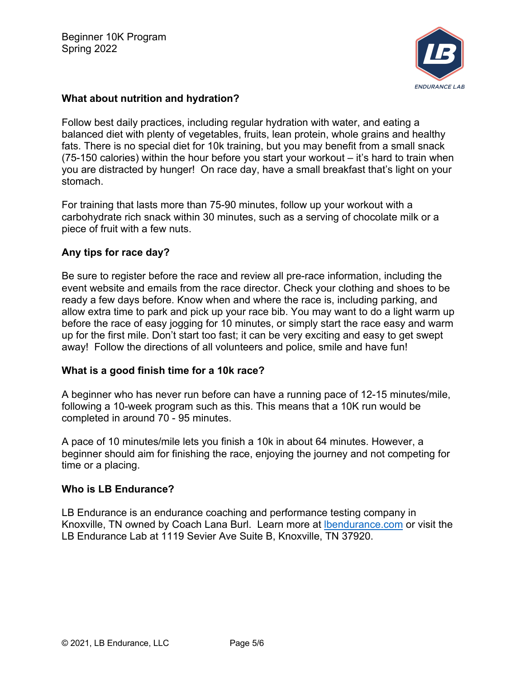

## **What about nutrition and hydration?**

Follow best daily practices, including regular hydration with water, and eating a balanced diet with plenty of vegetables, fruits, lean protein, whole grains and healthy fats. There is no special diet for 10k training, but you may benefit from a small snack (75-150 calories) within the hour before you start your workout – it's hard to train when you are distracted by hunger! On race day, have a small breakfast that's light on your stomach.

For training that lasts more than 75-90 minutes, follow up your workout with a carbohydrate rich snack within 30 minutes, such as a serving of chocolate milk or a piece of fruit with a few nuts.

## **Any tips for race day?**

Be sure to register before the race and review all pre-race information, including the event website and emails from the race director. Check your clothing and shoes to be ready a few days before. Know when and where the race is, including parking, and allow extra time to park and pick up your race bib. You may want to do a light warm up before the race of easy jogging for 10 minutes, or simply start the race easy and warm up for the first mile. Don't start too fast; it can be very exciting and easy to get swept away! Follow the directions of all volunteers and police, smile and have fun!

## **What is a good finish time for a 10k race?**

A beginner who has never run before can have a running pace of 12-15 minutes/mile, following a 10-week program such as this. This means that a 10K run would be completed in around 70 - 95 minutes.

A pace of 10 minutes/mile lets you finish a 10k in about 64 minutes. However, a beginner should aim for finishing the race, enjoying the journey and not competing for time or a placing.

## **Who is LB Endurance?**

LB Endurance is an endurance coaching and performance testing company in Knoxville, TN owned by Coach Lana Burl. Learn more at lbendurance.com or visit the LB Endurance Lab at 1119 Sevier Ave Suite B, Knoxville, TN 37920.